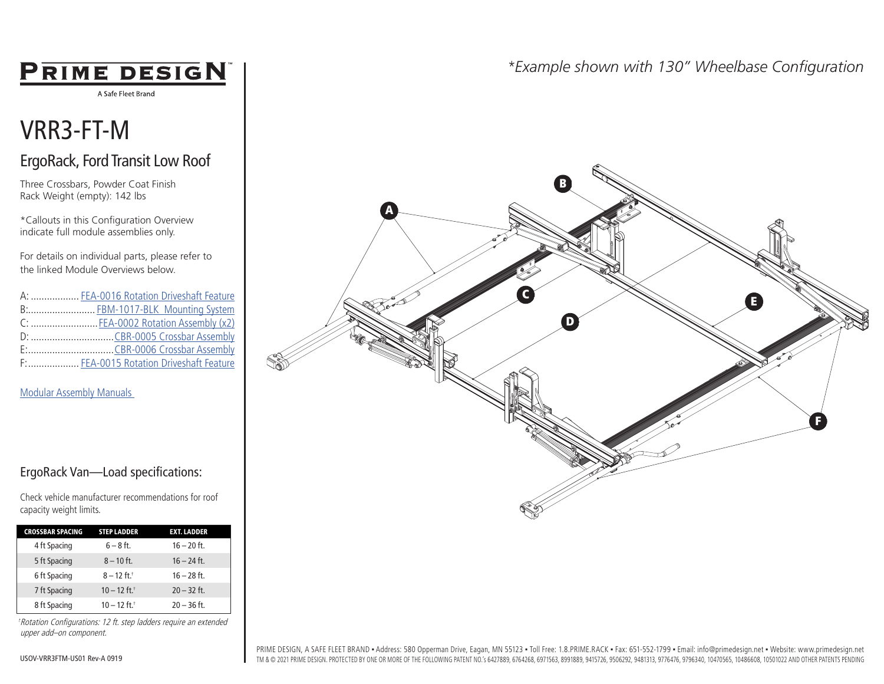# **PRIME DESIGN**

A Safe Fleet Brand

# VRR3-FT-M

# ErgoRack, Ford Transit Low Roof

Three Crossbars, Powder Coat Finish Rack Weight (empty): 142 lbs

\*Callouts in this Configuration Overview indicate full module assemblies only.

For details on individual parts, please refer to the linked Module Overviews below.

| A:  FEA-0016 Rotation Driveshaft Feature |
|------------------------------------------|
| B: FBM-1017-BLK Mounting System          |
| C: FEA-0002 Rotation Assembly (x2)       |
|                                          |
|                                          |
| F:  FEA-0015 Rotation Driveshaft Feature |

[Modular Assembly Manuals](https://www.primedesign.net/document-library/#modular-assembly-manuals-tab) 

### ErgoRack Van—Load specifications:

Check vehicle manufacturer recommendations for roof capacity weight limits.

| <b>CROSSBAR SPACING</b> | <b>STEP LADDER</b>         | <b>EXT. LADDER</b> |
|-------------------------|----------------------------|--------------------|
| 4 ft Spacing            | $6 - 8$ ft.                | $16 - 20$ ft.      |
| 5 ft Spacing            | $8 - 10$ ft.               | $16 - 24$ ft.      |
| 6 ft Spacing            | $8 - 12$ ft. <sup>+</sup>  | $16 - 28$ ft.      |
| 7 ft Spacing            | $10 - 12$ ft. <sup>†</sup> | $20 - 32$ ft.      |
| 8 ft Spacing            | $10 - 12$ ft. <sup>+</sup> | $20 - 36$ ft.      |

†Rotation Configurations: 12 ft. step ladders require an extended upper add–on component.

## *\*Example shown with 130" Wheelbase Configuration*